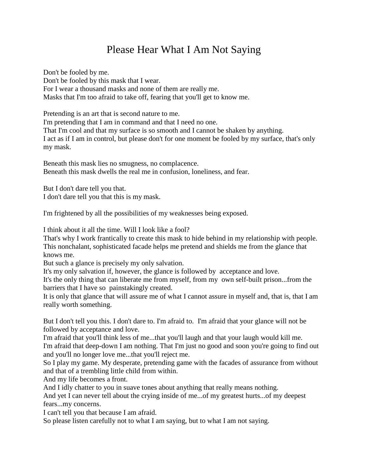## Please Hear What I Am Not Saying

Don't be fooled by me. Don't be fooled by this mask that I wear. For I wear a thousand masks and none of them are really me. Masks that I'm too afraid to take off, fearing that you'll get to know me.

Pretending is an art that is second nature to me. I'm pretending that I am in command and that I need no one. That I'm cool and that my surface is so smooth and I cannot be shaken by anything. I act as if I am in control, but please don't for one moment be fooled by my surface, that's only my mask.

Beneath this mask lies no smugness, no complacence. Beneath this mask dwells the real me in confusion, loneliness, and fear.

But I don't dare tell you that. I don't dare tell you that this is my mask.

I'm frightened by all the possibilities of my weaknesses being exposed.

I think about it all the time. Will I look like a fool?

That's why I work frantically to create this mask to hide behind in my relationship with people. This nonchalant, sophisticated facade helps me pretend and shields me from the glance that knows me.

But such a glance is precisely my only salvation.

It's my only salvation if, however, the glance is followed by acceptance and love.

It's the only thing that can liberate me from myself, from my own self-built prison...from the barriers that I have so painstakingly created.

It is only that glance that will assure me of what I cannot assure in myself and, that is, that I am really worth something.

But I don't tell you this. I don't dare to. I'm afraid to. I'm afraid that your glance will not be followed by acceptance and love.

I'm afraid that you'll think less of me...that you'll laugh and that your laugh would kill me. I'm afraid that deep-down I am nothing. That I'm just no good and soon you're going to find out and you'll no longer love me...that you'll reject me.

So I play my game. My desperate, pretending game with the facades of assurance from without and that of a trembling little child from within.

And my life becomes a front.

And I idly chatter to you in suave tones about anything that really means nothing.

And yet I can never tell about the crying inside of me...of my greatest hurts...of my deepest fears...my concerns.

I can't tell you that because I am afraid.

So please listen carefully not to what I am saying, but to what I am not saying.